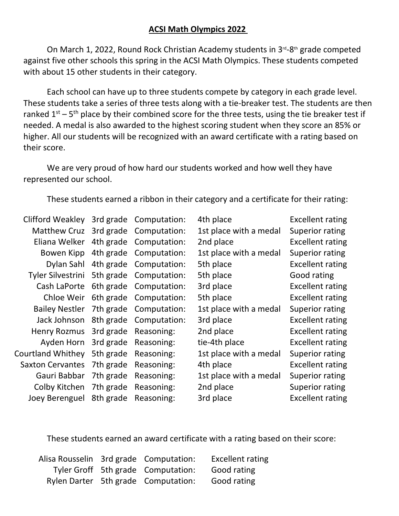## **ACSI Math Olympics 2022**

On March 1, 2022, Round Rock Christian Academy students in 3<sup>rd</sup>-8<sup>th</sup> grade competed against five other schools this spring in the ACSI Math Olympics. These students competed with about 15 other students in their category.

Each school can have up to three students compete by category in each grade level. These students take a series of three tests along with a tie-breaker test. The students are then ranked  $1^{st}$  – 5<sup>th</sup> place by their combined score for the three tests, using the tie breaker test if needed. A medal is also awarded to the highest scoring student when they score an 85% or higher. All our students will be recognized with an award certificate with a rating based on their score.

We are very proud of how hard our students worked and how well they have represented our school.

These students earned a ribbon in their category and a certificate for their rating:

| <b>Clifford Weakley</b>  |           | 3rd grade Computation: | 4th place              | <b>Excellent rating</b> |
|--------------------------|-----------|------------------------|------------------------|-------------------------|
| <b>Matthew Cruz</b>      |           | 3rd grade Computation: | 1st place with a medal | Superior rating         |
| Eliana Welker            |           | 4th grade Computation: | 2nd place              | <b>Excellent rating</b> |
| Bowen Kipp               | 4th grade | Computation:           | 1st place with a medal | Superior rating         |
| Dylan Sahl               |           | 4th grade Computation: | 5th place              | <b>Excellent rating</b> |
| <b>Tyler Silvestrini</b> |           | 5th grade Computation: | 5th place              | Good rating             |
| Cash LaPorte             |           | 6th grade Computation: | 3rd place              | <b>Excellent rating</b> |
| Chloe Weir               |           | 6th grade Computation: | 5th place              | <b>Excellent rating</b> |
| <b>Bailey Nestler</b>    | 7th grade | Computation:           | 1st place with a medal | Superior rating         |
| Jack Johnson             | 8th grade | Computation:           | 3rd place              | <b>Excellent rating</b> |
| Henry Rozmus             | 3rd grade | Reasoning:             | 2nd place              | <b>Excellent rating</b> |
| Ayden Horn               | 3rd grade | Reasoning:             | tie-4th place          | <b>Excellent rating</b> |
| <b>Courtland Whithey</b> | 5th grade | Reasoning:             | 1st place with a medal | Superior rating         |
| <b>Saxton Cervantes</b>  | 7th grade | Reasoning:             | 4th place              | <b>Excellent rating</b> |
| Gauri Babbar             | 7th grade | Reasoning:             | 1st place with a medal | Superior rating         |
| Colby Kitchen            | 7th grade | Reasoning:             | 2nd place              | Superior rating         |
| Joey Berenguel           | 8th grade | Reasoning:             | 3rd place              | <b>Excellent rating</b> |

These students earned an award certificate with a rating based on their score:

|  | Alisa Rousselin 3rd grade Computation: | <b>Excellent rating</b> |
|--|----------------------------------------|-------------------------|
|  | Tyler Groff 5th grade Computation:     | Good rating             |
|  | Rylen Darter 5th grade Computation:    | Good rating             |